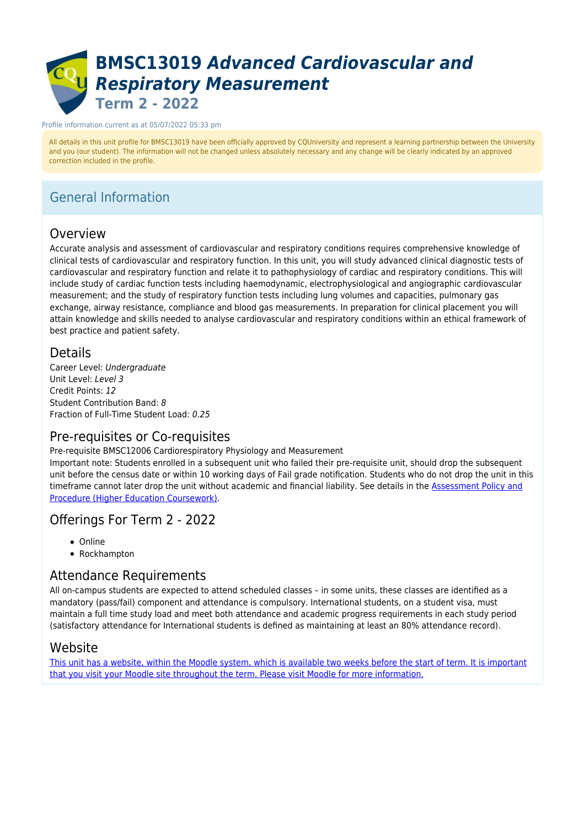# **BMSC13019** *Advanced Cardiovascular and Respiratory Measurement* **Term 2 - 2022**

#### Profile information current as at 05/07/2022 05:33 pm

All details in this unit profile for BMSC13019 have been officially approved by CQUniversity and represent a learning partnership between the University and you (our student). The information will not be changed unless absolutely necessary and any change will be clearly indicated by an approved correction included in the profile.

# General Information

# Overview

Accurate analysis and assessment of cardiovascular and respiratory conditions requires comprehensive knowledge of clinical tests of cardiovascular and respiratory function. In this unit, you will study advanced clinical diagnostic tests of cardiovascular and respiratory function and relate it to pathophysiology of cardiac and respiratory conditions. This will include study of cardiac function tests including haemodynamic, electrophysiological and angiographic cardiovascular measurement; and the study of respiratory function tests including lung volumes and capacities, pulmonary gas exchange, airway resistance, compliance and blood gas measurements. In preparation for clinical placement you will attain knowledge and skills needed to analyse cardiovascular and respiratory conditions within an ethical framework of best practice and patient safety.

# **Details**

Career Level: Undergraduate Unit Level: Level 3 Credit Points: 12 Student Contribution Band: 8 Fraction of Full-Time Student Load: 0.25

# Pre-requisites or Co-requisites

Pre-requisite BMSC12006 Cardiorespiratory Physiology and Measurement

Important note: Students enrolled in a subsequent unit who failed their pre-requisite unit, should drop the subsequent unit before the census date or within 10 working days of Fail grade notification. Students who do not drop the unit in this timeframe cannot later drop the unit without academic and financial liability. See details in the [Assessment Policy and](https://www.cqu.edu.au/policy) [Procedure \(Higher Education Coursework\)](https://www.cqu.edu.au/policy).

# Offerings For Term 2 - 2022

- Online
- Rockhampton

# Attendance Requirements

All on-campus students are expected to attend scheduled classes – in some units, these classes are identified as a mandatory (pass/fail) component and attendance is compulsory. International students, on a student visa, must maintain a full time study load and meet both attendance and academic progress requirements in each study period (satisfactory attendance for International students is defined as maintaining at least an 80% attendance record).

# Website

[This unit has a website, within the Moodle system, which is available two weeks before the start of term. It is important](https://moodle.cqu.edu.au) [that you visit your Moodle site throughout the term. Please visit Moodle for more information.](https://moodle.cqu.edu.au)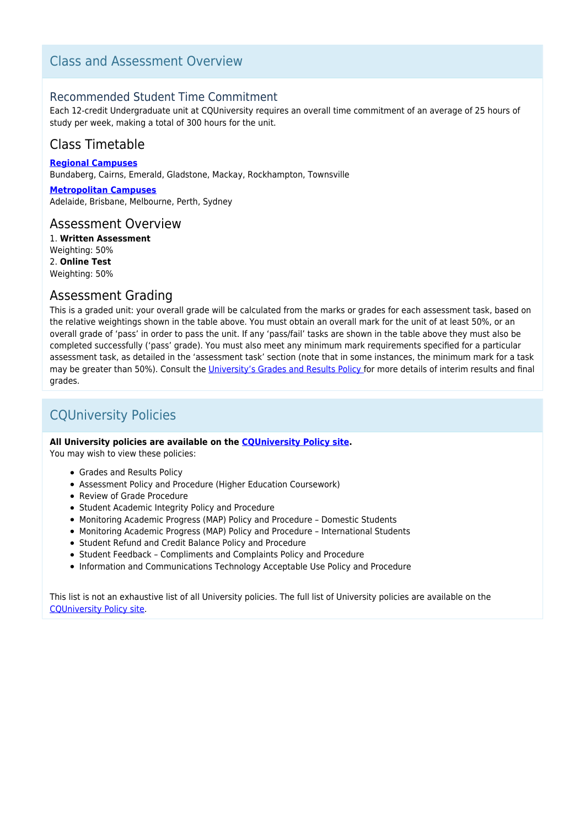# Class and Assessment Overview

# Recommended Student Time Commitment

Each 12-credit Undergraduate unit at CQUniversity requires an overall time commitment of an average of 25 hours of study per week, making a total of 300 hours for the unit.

# Class Timetable

**[Regional Campuses](https://handbook.cqu.edu.au/facet/timetables)** Bundaberg, Cairns, Emerald, Gladstone, Mackay, Rockhampton, Townsville

**[Metropolitan Campuses](https://handbook.cqu.edu.au/facet/timetables)** Adelaide, Brisbane, Melbourne, Perth, Sydney

# Assessment Overview

1. **Written Assessment** Weighting: 50% 2. **Online Test** Weighting: 50%

# Assessment Grading

This is a graded unit: your overall grade will be calculated from the marks or grades for each assessment task, based on the relative weightings shown in the table above. You must obtain an overall mark for the unit of at least 50%, or an overall grade of 'pass' in order to pass the unit. If any 'pass/fail' tasks are shown in the table above they must also be completed successfully ('pass' grade). You must also meet any minimum mark requirements specified for a particular assessment task, as detailed in the 'assessment task' section (note that in some instances, the minimum mark for a task may be greater than 50%). Consult the [University's Grades and Results Policy](https://www.cqu.edu.au/policy) for more details of interim results and final grades.

# CQUniversity Policies

## **All University policies are available on the [CQUniversity Policy site.](https://policy.cqu.edu.au/)**

You may wish to view these policies:

- Grades and Results Policy
- Assessment Policy and Procedure (Higher Education Coursework)
- Review of Grade Procedure
- Student Academic Integrity Policy and Procedure
- Monitoring Academic Progress (MAP) Policy and Procedure Domestic Students
- Monitoring Academic Progress (MAP) Policy and Procedure International Students
- Student Refund and Credit Balance Policy and Procedure
- Student Feedback Compliments and Complaints Policy and Procedure
- Information and Communications Technology Acceptable Use Policy and Procedure

This list is not an exhaustive list of all University policies. The full list of University policies are available on the [CQUniversity Policy site.](https://policy.cqu.edu.au/)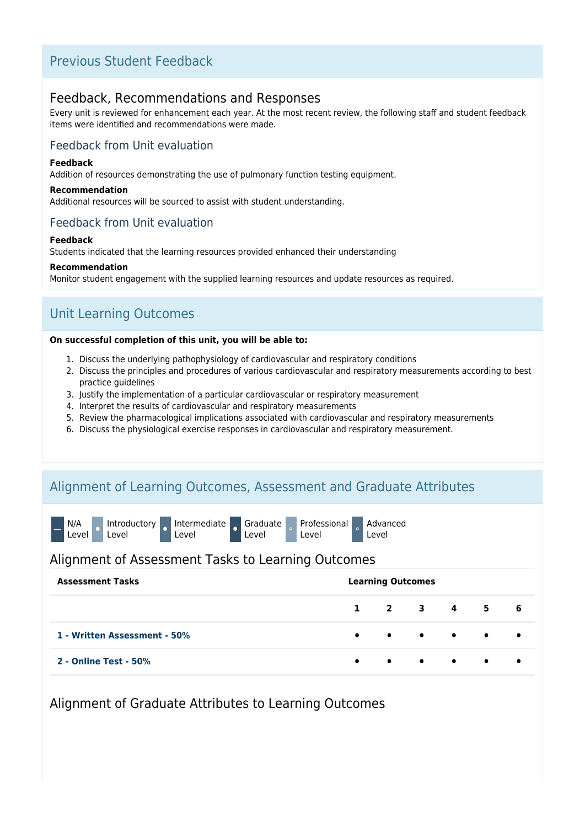# Previous Student Feedback

# Feedback, Recommendations and Responses

Every unit is reviewed for enhancement each year. At the most recent review, the following staff and student feedback items were identified and recommendations were made.

# Feedback from Unit evaluation

## **Feedback**

Addition of resources demonstrating the use of pulmonary function testing equipment.

## **Recommendation**

Additional resources will be sourced to assist with student understanding.

# Feedback from Unit evaluation

## **Feedback**

Students indicated that the learning resources provided enhanced their understanding

#### **Recommendation**

Monitor student engagement with the supplied learning resources and update resources as required.

# Unit Learning Outcomes

## **On successful completion of this unit, you will be able to:**

- 1. Discuss the underlying pathophysiology of cardiovascular and respiratory conditions
- 2. Discuss the principles and procedures of various cardiovascular and respiratory measurements according to best practice guidelines
- 3. Justify the implementation of a particular cardiovascular or respiratory measurement
- 4. Interpret the results of cardiovascular and respiratory measurements
- 5. Review the pharmacological implications associated with cardiovascular and respiratory measurements
- 6. Discuss the physiological exercise responses in cardiovascular and respiratory measurement.

# Alignment of Learning Outcomes, Assessment and Graduate Attributes



Graduate Level

Professional Level

Advanced Level

# Alignment of Assessment Tasks to Learning Outcomes

| <b>Assessment Tasks</b>      | <b>Learning Outcomes</b> |  |  |  |                                                                                                                                            |  |  |  |
|------------------------------|--------------------------|--|--|--|--------------------------------------------------------------------------------------------------------------------------------------------|--|--|--|
|                              |                          |  |  |  | $1$ 2 3 4 5 6                                                                                                                              |  |  |  |
| 1 - Written Assessment - 50% |                          |  |  |  | $\begin{array}{ccccccccccccccccccccc} \bullet & \bullet & \bullet & \bullet & \bullet & \bullet & \bullet & \bullet & \bullet \end{array}$ |  |  |  |
| <b>2 - Online Test - 50%</b> |                          |  |  |  |                                                                                                                                            |  |  |  |

Alignment of Graduate Attributes to Learning Outcomes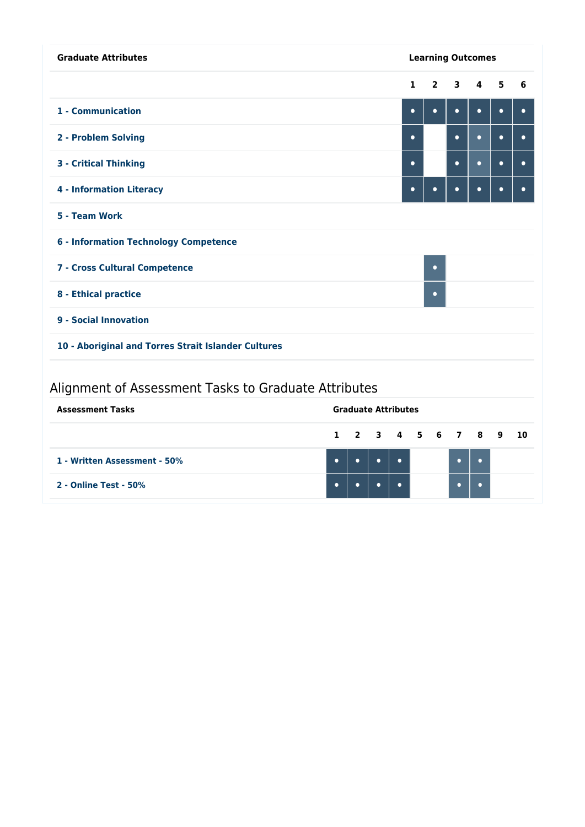| <b>Graduate Attributes</b>                           |                            | <b>Learning Outcomes</b> |                |           |           |           |           |
|------------------------------------------------------|----------------------------|--------------------------|----------------|-----------|-----------|-----------|-----------|
|                                                      |                            | $\mathbf{1}$             | $\overline{2}$ | 3         | 4         | 5         | 6         |
| 1 - Communication                                    |                            | $\bullet$                | $\bullet$      | $\bullet$ | $\bullet$ | $\bullet$ | $\bullet$ |
| 2 - Problem Solving                                  |                            | $\bullet$                |                | $\bullet$ | $\bullet$ | $\bullet$ | $\bullet$ |
| <b>3 - Critical Thinking</b>                         |                            | $\bullet$                |                | $\bullet$ | $\bullet$ | $\bullet$ | ۰         |
| <b>4 - Information Literacy</b>                      |                            | $\bullet$                | $\bullet$      | $\bullet$ | $\bullet$ | $\bullet$ | $\bullet$ |
| 5 - Team Work                                        |                            |                          |                |           |           |           |           |
| <b>6 - Information Technology Competence</b>         |                            |                          |                |           |           |           |           |
| 7 - Cross Cultural Competence<br>$\bullet$           |                            |                          |                |           |           |           |           |
| 8 - Ethical practice<br>$\bullet$                    |                            |                          |                |           |           |           |           |
| 9 - Social Innovation                                |                            |                          |                |           |           |           |           |
| 10 - Aboriginal and Torres Strait Islander Cultures  |                            |                          |                |           |           |           |           |
| Alignment of Assessment Tasks to Graduate Attributes |                            |                          |                |           |           |           |           |
| <b>Assessment Tasks</b>                              | <b>Graduate Attributes</b> |                          |                |           |           |           |           |

|                              |  | 1 2 3 4 5 6 7 8 9 10 |  |  |  |  |
|------------------------------|--|----------------------|--|--|--|--|
| 1 - Written Assessment - 50% |  |                      |  |  |  |  |
| 2 - Online Test - 50%        |  |                      |  |  |  |  |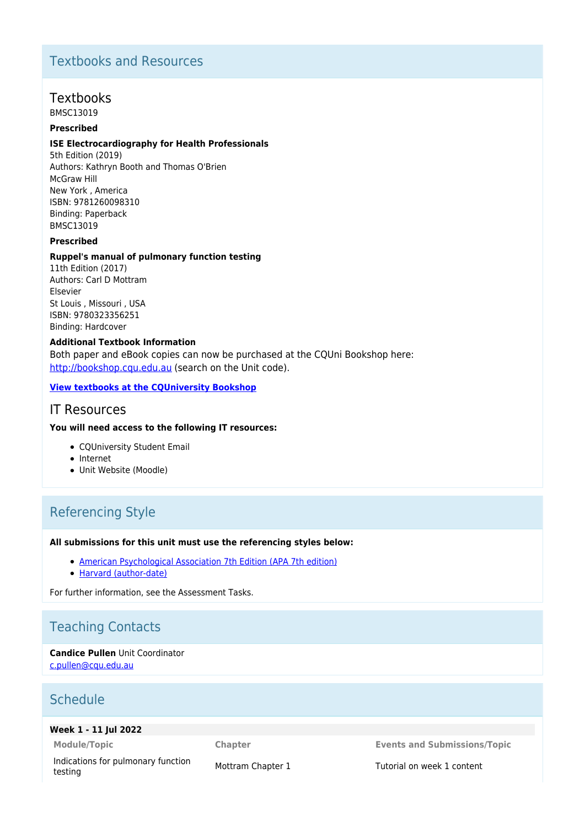# Textbooks and Resources

# Textbooks

BMSC13019

# **Prescribed**

#### **ISE Electrocardiography for Health Professionals**

5th Edition (2019) Authors: Kathryn Booth and Thomas O'Brien McGraw Hill New York , America ISBN: 9781260098310 Binding: Paperback BMSC13019

# **Prescribed**

#### **Ruppel's manual of pulmonary function testing**

11th Edition (2017) Authors: Carl D Mottram **Elsevier** St Louis , Missouri , USA ISBN: 9780323356251 Binding: Hardcover

# **Additional Textbook Information**

Both paper and eBook copies can now be purchased at the CQUni Bookshop here: [http://bookshop.cqu.edu.au](http://bookshop.cqu.edu.au/) (search on the Unit code).

#### **[View textbooks at the CQUniversity Bookshop](https://bookshop.cqu.edu.au/)**

# IT Resources

## **You will need access to the following IT resources:**

- CQUniversity Student Email
- Internet
- Unit Website (Moodle)

# Referencing Style

#### **All submissions for this unit must use the referencing styles below:**

- [American Psychological Association 7th Edition \(APA 7th edition\)](https://delivery-cqucontenthub.stylelabs.cloud/api/public/content/apa-referencing-style.pdf?v=51e1aea7)
- [Harvard \(author-date\)](https://delivery-cqucontenthub.stylelabs.cloud/api/public/content/harvard-referencing-style.pdf?v=306efe7e)

For further information, see the Assessment Tasks.

# Teaching Contacts

**Candice Pullen** Unit Coordinator [c.pullen@cqu.edu.au](mailto:c.pullen@cqu.edu.au)

# Schedule

## **Week 1 - 11 Jul 2022**

Indications for pulmonary function Indications for purificitary function<br>testing the Mottram Chapter 1 Tutorial on week 1 content

**Module/Topic Chapter Events and Submissions/Topic**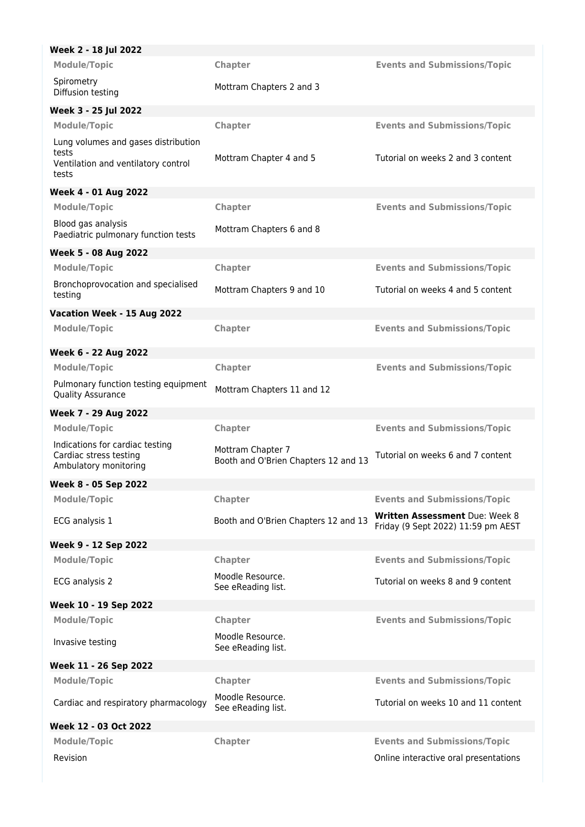| Week 2 - 18 Jul 2022                                                                         |                                                           |                                                                      |
|----------------------------------------------------------------------------------------------|-----------------------------------------------------------|----------------------------------------------------------------------|
| <b>Module/Topic</b>                                                                          | Chapter                                                   | <b>Events and Submissions/Topic</b>                                  |
| Spirometry<br>Diffusion testing                                                              | Mottram Chapters 2 and 3                                  |                                                                      |
| Week 3 - 25 Jul 2022                                                                         |                                                           |                                                                      |
| <b>Module/Topic</b>                                                                          | Chapter                                                   | <b>Events and Submissions/Topic</b>                                  |
| Lung volumes and gases distribution<br>tests<br>Ventilation and ventilatory control<br>tests | Mottram Chapter 4 and 5                                   | Tutorial on weeks 2 and 3 content                                    |
| <b>Week 4 - 01 Aug 2022</b>                                                                  |                                                           |                                                                      |
| <b>Module/Topic</b>                                                                          | Chapter                                                   | <b>Events and Submissions/Topic</b>                                  |
| Blood gas analysis<br>Paediatric pulmonary function tests                                    | Mottram Chapters 6 and 8                                  |                                                                      |
| Week 5 - 08 Aug 2022                                                                         |                                                           |                                                                      |
| <b>Module/Topic</b>                                                                          | Chapter                                                   | <b>Events and Submissions/Topic</b>                                  |
| Bronchoprovocation and specialised<br>testing                                                | Mottram Chapters 9 and 10                                 | Tutorial on weeks 4 and 5 content                                    |
| Vacation Week - 15 Aug 2022                                                                  |                                                           |                                                                      |
| <b>Module/Topic</b>                                                                          | Chapter                                                   | <b>Events and Submissions/Topic</b>                                  |
| Week 6 - 22 Aug 2022                                                                         |                                                           |                                                                      |
| <b>Module/Topic</b>                                                                          | Chapter                                                   | <b>Events and Submissions/Topic</b>                                  |
| Pulmonary function testing equipment<br><b>Quality Assurance</b>                             | Mottram Chapters 11 and 12                                |                                                                      |
| Week 7 - 29 Aug 2022                                                                         |                                                           |                                                                      |
| <b>Module/Topic</b>                                                                          | Chapter                                                   | <b>Events and Submissions/Topic</b>                                  |
| Indications for cardiac testing<br>Cardiac stress testing<br>Ambulatory monitoring           | Mottram Chapter 7<br>Booth and O'Brien Chapters 12 and 13 | Tutorial on weeks 6 and 7 content                                    |
| Week 8 - 05 Sep 2022                                                                         |                                                           |                                                                      |
| <b>Module/Topic</b>                                                                          | Chapter                                                   | <b>Events and Submissions/Topic</b>                                  |
| ECG analysis 1                                                                               | Booth and O'Brien Chapters 12 and 13                      | Written Assessment Due: Week 8<br>Friday (9 Sept 2022) 11:59 pm AEST |
| Week 9 - 12 Sep 2022                                                                         |                                                           |                                                                      |
| <b>Module/Topic</b>                                                                          | <b>Chapter</b>                                            | <b>Events and Submissions/Topic</b>                                  |
| ECG analysis 2                                                                               | Moodle Resource.<br>See eReading list.                    | Tutorial on weeks 8 and 9 content                                    |
| Week 10 - 19 Sep 2022                                                                        |                                                           |                                                                      |
| <b>Module/Topic</b>                                                                          | Chapter                                                   | <b>Events and Submissions/Topic</b>                                  |
| Invasive testing                                                                             | Moodle Resource.<br>See eReading list.                    |                                                                      |
| Week 11 - 26 Sep 2022                                                                        |                                                           |                                                                      |
| <b>Module/Topic</b>                                                                          | Chapter                                                   | <b>Events and Submissions/Topic</b>                                  |
| Cardiac and respiratory pharmacology                                                         | Moodle Resource.<br>See eReading list.                    | Tutorial on weeks 10 and 11 content                                  |
| Week 12 - 03 Oct 2022                                                                        |                                                           |                                                                      |
| <b>Module/Topic</b>                                                                          | Chapter                                                   | <b>Events and Submissions/Topic</b>                                  |
|                                                                                              |                                                           |                                                                      |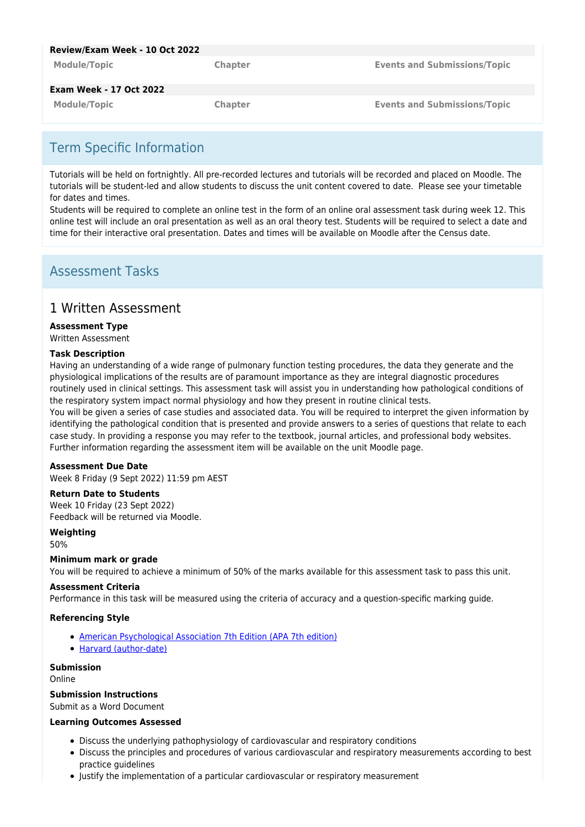| Review/Exam Week - 10 Oct 2022 |                |                                     |
|--------------------------------|----------------|-------------------------------------|
| <b>Module/Topic</b>            | <b>Chapter</b> | <b>Events and Submissions/Topic</b> |
| <b>Exam Week - 17 Oct 2022</b> |                |                                     |
| <b>Module/Topic</b>            | <b>Chapter</b> | <b>Events and Submissions/Topic</b> |

# Term Specific Information

Tutorials will be held on fortnightly. All pre-recorded lectures and tutorials will be recorded and placed on Moodle. The tutorials will be student-led and allow students to discuss the unit content covered to date. Please see your timetable for dates and times.

Students will be required to complete an online test in the form of an online oral assessment task during week 12. This online test will include an oral presentation as well as an oral theory test. Students will be required to select a date and time for their interactive oral presentation. Dates and times will be available on Moodle after the Census date.

# Assessment Tasks

# 1 Written Assessment

# **Assessment Type**

Written Assessment

## **Task Description**

Having an understanding of a wide range of pulmonary function testing procedures, the data they generate and the physiological implications of the results are of paramount importance as they are integral diagnostic procedures routinely used in clinical settings. This assessment task will assist you in understanding how pathological conditions of the respiratory system impact normal physiology and how they present in routine clinical tests. You will be given a series of case studies and associated data. You will be required to interpret the given information by identifying the pathological condition that is presented and provide answers to a series of questions that relate to each case study. In providing a response you may refer to the textbook, journal articles, and professional body websites. Further information regarding the assessment item will be available on the unit Moodle page.

## **Assessment Due Date**

Week 8 Friday (9 Sept 2022) 11:59 pm AEST

## **Return Date to Students**

Week 10 Friday (23 Sept 2022) Feedback will be returned via Moodle.

# **Weighting**

50%

## **Minimum mark or grade**

You will be required to achieve a minimum of 50% of the marks available for this assessment task to pass this unit.

## **Assessment Criteria**

Performance in this task will be measured using the criteria of accuracy and a question-specific marking guide.

## **Referencing Style**

- [American Psychological Association 7th Edition \(APA 7th edition\)](https://delivery-cqucontenthub.stylelabs.cloud/api/public/content/apa-referencing-style.pdf?v=51e1aea7)
- [Harvard \(author-date\)](https://delivery-cqucontenthub.stylelabs.cloud/api/public/content/harvard-referencing-style.pdf?v=306efe7e)

# **Submission**

Online

## **Submission Instructions**

Submit as a Word Document

## **Learning Outcomes Assessed**

- Discuss the underlying pathophysiology of cardiovascular and respiratory conditions
- Discuss the principles and procedures of various cardiovascular and respiratory measurements according to best practice guidelines
- Justify the implementation of a particular cardiovascular or respiratory measurement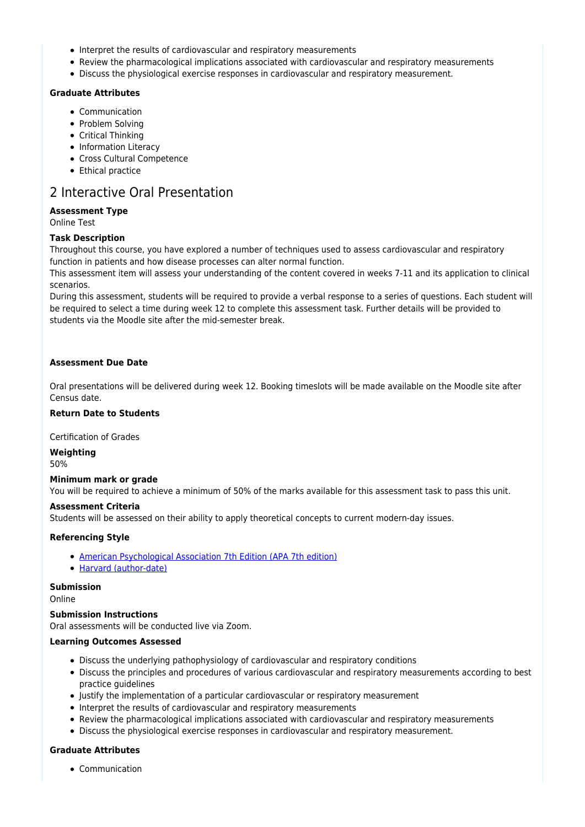- Interpret the results of cardiovascular and respiratory measurements
- Review the pharmacological implications associated with cardiovascular and respiratory measurements
- Discuss the physiological exercise responses in cardiovascular and respiratory measurement.

## **Graduate Attributes**

- Communication
- Problem Solving
- Critical Thinking
- Information Literacy
- Cross Cultural Competence
- Ethical practice

# 2 Interactive Oral Presentation

## **Assessment Type**

Online Test

## **Task Description**

Throughout this course, you have explored a number of techniques used to assess cardiovascular and respiratory function in patients and how disease processes can alter normal function.

This assessment item will assess your understanding of the content covered in weeks 7-11 and its application to clinical scenarios.

During this assessment, students will be required to provide a verbal response to a series of questions. Each student will be required to select a time during week 12 to complete this assessment task. Further details will be provided to students via the Moodle site after the mid-semester break.

## **Assessment Due Date**

Oral presentations will be delivered during week 12. Booking timeslots will be made available on the Moodle site after Census date.

# **Return Date to Students**

Certification of Grades

**Weighting** 50%

## **Minimum mark or grade**

You will be required to achieve a minimum of 50% of the marks available for this assessment task to pass this unit.

## **Assessment Criteria**

Students will be assessed on their ability to apply theoretical concepts to current modern-day issues.

## **Referencing Style**

- [American Psychological Association 7th Edition \(APA 7th edition\)](https://delivery-cqucontenthub.stylelabs.cloud/api/public/content/apa-referencing-style.pdf?v=51e1aea7)
- [Harvard \(author-date\)](https://delivery-cqucontenthub.stylelabs.cloud/api/public/content/harvard-referencing-style.pdf?v=306efe7e)

## **Submission**

Online

## **Submission Instructions**

Oral assessments will be conducted live via Zoom.

## **Learning Outcomes Assessed**

- Discuss the underlying pathophysiology of cardiovascular and respiratory conditions
- Discuss the principles and procedures of various cardiovascular and respiratory measurements according to best practice guidelines
- Justify the implementation of a particular cardiovascular or respiratory measurement
- Interpret the results of cardiovascular and respiratory measurements
- Review the pharmacological implications associated with cardiovascular and respiratory measurements
- Discuss the physiological exercise responses in cardiovascular and respiratory measurement.

# **Graduate Attributes**

• Communication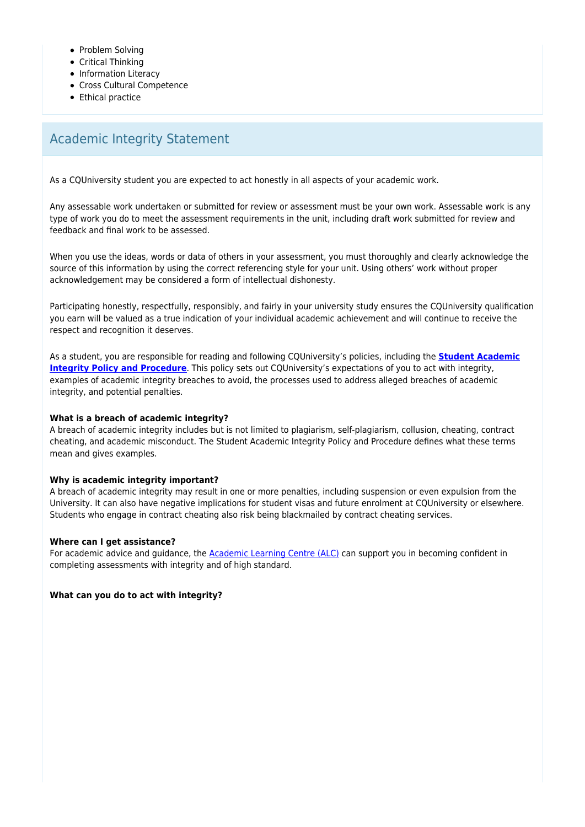- Problem Solving
- Critical Thinking
- Information Literacy
- Cross Cultural Competence
- Ethical practice

# Academic Integrity Statement

As a CQUniversity student you are expected to act honestly in all aspects of your academic work.

Any assessable work undertaken or submitted for review or assessment must be your own work. Assessable work is any type of work you do to meet the assessment requirements in the unit, including draft work submitted for review and feedback and final work to be assessed.

When you use the ideas, words or data of others in your assessment, you must thoroughly and clearly acknowledge the source of this information by using the correct referencing style for your unit. Using others' work without proper acknowledgement may be considered a form of intellectual dishonesty.

Participating honestly, respectfully, responsibly, and fairly in your university study ensures the CQUniversity qualification you earn will be valued as a true indication of your individual academic achievement and will continue to receive the respect and recognition it deserves.

As a student, you are responsible for reading and following CQUniversity's policies, including the **[Student Academic](https://www.cqu.edu.au/policy/sharepoint-document-download?file_uri={BE8380F3-F86D-4C55-AC0D-84A81EAFD6A2}/Student%20Academic%20Integrity%20Policy%20and%20Procedure%20(formerly%20known%20as%20the%20Academic%20Misconduct%20Procedure).pdf) [Integrity Policy and Procedure](https://www.cqu.edu.au/policy/sharepoint-document-download?file_uri={BE8380F3-F86D-4C55-AC0D-84A81EAFD6A2}/Student%20Academic%20Integrity%20Policy%20and%20Procedure%20(formerly%20known%20as%20the%20Academic%20Misconduct%20Procedure).pdf)**. This policy sets out CQUniversity's expectations of you to act with integrity, examples of academic integrity breaches to avoid, the processes used to address alleged breaches of academic integrity, and potential penalties.

## **What is a breach of academic integrity?**

A breach of academic integrity includes but is not limited to plagiarism, self-plagiarism, collusion, cheating, contract cheating, and academic misconduct. The Student Academic Integrity Policy and Procedure defines what these terms mean and gives examples.

## **Why is academic integrity important?**

A breach of academic integrity may result in one or more penalties, including suspension or even expulsion from the University. It can also have negative implications for student visas and future enrolment at CQUniversity or elsewhere. Students who engage in contract cheating also risk being blackmailed by contract cheating services.

## **Where can I get assistance?**

For academic advice and guidance, the [Academic Learning Centre \(ALC\)](https://www.cqu.edu.au/student-life/academic-learning-centre) can support you in becoming confident in completing assessments with integrity and of high standard.

**What can you do to act with integrity?**